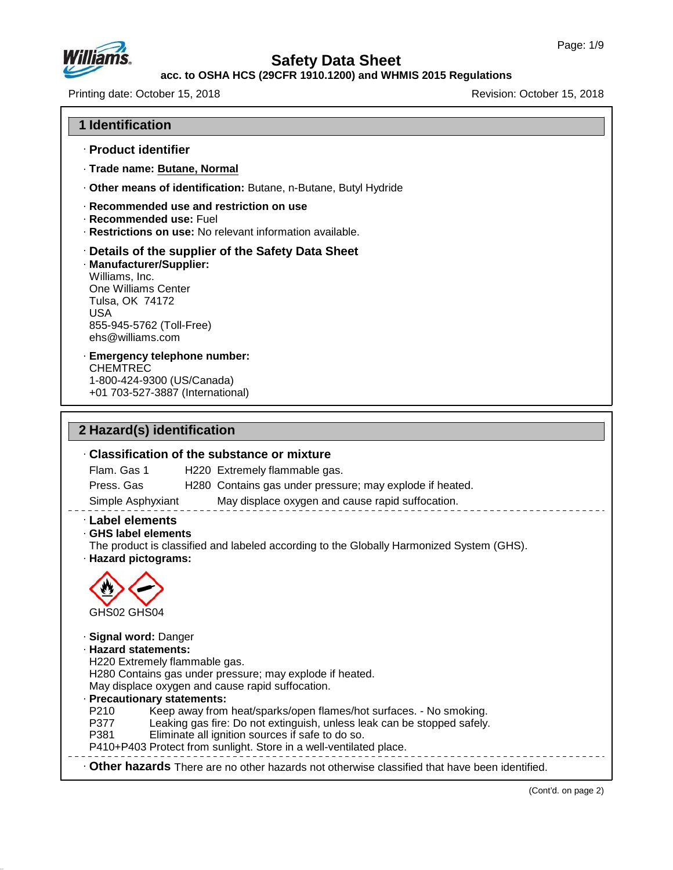

#### **acc. to OSHA HCS (29CFR 1910.1200) and WHMIS 2015 Regulations**

Printing date: October 15, 2018 Revision: October 15, 2018

#### **1 Identification**

- · **Product identifier**
- · **Trade name: Butane, Normal**
- · **Other means of identification:** Butane, n-Butane, Butyl Hydride

#### · **Recommended use and restriction on use**

- · **Recommended use:** Fuel
- · **Restrictions on use:** No relevant information available.

#### · **Details of the supplier of the Safety Data Sheet**

· **Manufacturer/Supplier:** Williams, Inc. One Williams Center Tulsa, OK 74172 USA 855-945-5762 (Toll-Free) ehs@williams.com

#### · **Emergency telephone number:** CHEMTREC 1-800-424-9300 (US/Canada) +01 703-527-3887 (International)

### **2 Hazard(s) identification**

47.0.13

# · **Classification of the substance or mixture** Flam. Gas 1 H220 Extremely flammable gas. Press. Gas H280 Contains gas under pressure; may explode if heated. Simple Asphyxiant May displace oxygen and cause rapid suffocation. · **Label elements** · **GHS label elements** The product is classified and labeled according to the Globally Harmonized System (GHS). · **Hazard pictograms:** GHS02 GHS04 · **Signal word:** Danger · **Hazard statements:** H220 Extremely flammable gas. H280 Contains gas under pressure; may explode if heated. May displace oxygen and cause rapid suffocation. **Precautionary statements:**<br>P210 Keep away from P210 Keep away from heat/sparks/open flames/hot surfaces. - No smoking. Leaking gas fire: Do not extinguish, unless leak can be stopped safely. P381 Eliminate all ignition sources if safe to do so. P410+P403 Protect from sunlight. Store in a well-ventilated place. · **Other hazards** There are no other hazards nototherwise classified that have been identified.

(Cont'd. on page 2)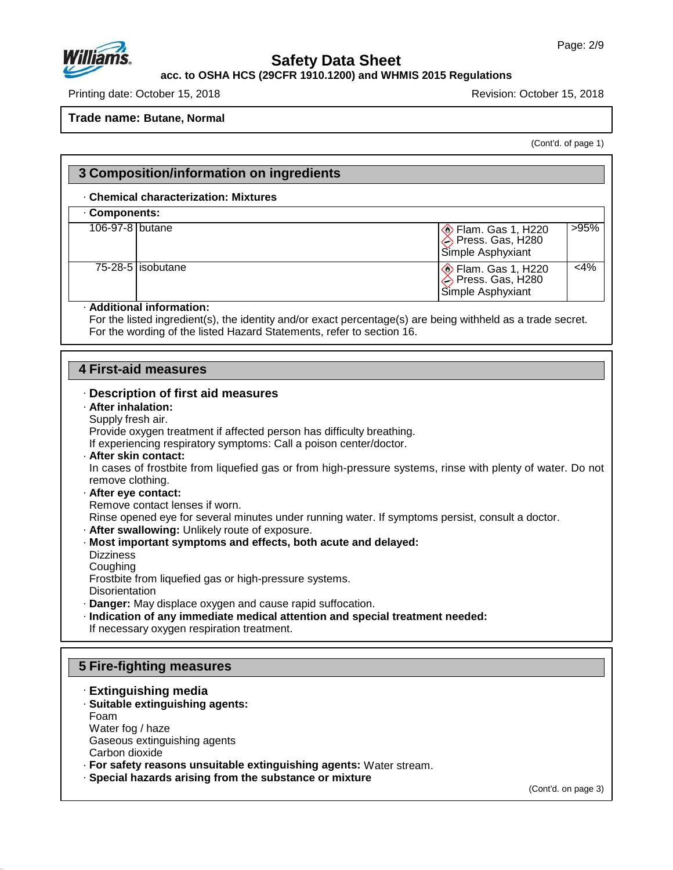

Г

# **Safety Data Sheet**

#### **acc. to OSHA HCS (29CFR 1910.1200) and WHMIS 2015 Regulations**

Printing date: October 15, 2018 **Printing date: October 15, 2018** 

**Trade name: Butane, Normal**

(Cont'd. of page 1)

|                                                                                                                | 3 Composition/information on ingredients                                                                                                                                                                                                   |                                                                                                                                                                                                                                                                             |                                                                                                                                                                                                                                                                                                 |              |
|----------------------------------------------------------------------------------------------------------------|--------------------------------------------------------------------------------------------------------------------------------------------------------------------------------------------------------------------------------------------|-----------------------------------------------------------------------------------------------------------------------------------------------------------------------------------------------------------------------------------------------------------------------------|-------------------------------------------------------------------------------------------------------------------------------------------------------------------------------------------------------------------------------------------------------------------------------------------------|--------------|
|                                                                                                                | <b>Chemical characterization: Mixtures</b>                                                                                                                                                                                                 |                                                                                                                                                                                                                                                                             |                                                                                                                                                                                                                                                                                                 |              |
| Components:                                                                                                    |                                                                                                                                                                                                                                            |                                                                                                                                                                                                                                                                             |                                                                                                                                                                                                                                                                                                 |              |
| 106-97-8 butane                                                                                                |                                                                                                                                                                                                                                            |                                                                                                                                                                                                                                                                             | $\circledcirc$ Flam. Gas 1, H220<br>Press. Gas, H280<br>Simple Asphyxiant                                                                                                                                                                                                                       | >95%         |
|                                                                                                                | 75-28-5 isobutane                                                                                                                                                                                                                          |                                                                                                                                                                                                                                                                             | Elam. Gas 1, H220<br>Press. Gas, H280<br>Simple Asphyxiant                                                                                                                                                                                                                                      | $\sqrt{4\%}$ |
|                                                                                                                | · Additional information:                                                                                                                                                                                                                  | For the wording of the listed Hazard Statements, refer to section 16.                                                                                                                                                                                                       | For the listed ingredient(s), the identity and/or exact percentage(s) are being withheld as a trade secret.                                                                                                                                                                                     |              |
|                                                                                                                |                                                                                                                                                                                                                                            |                                                                                                                                                                                                                                                                             |                                                                                                                                                                                                                                                                                                 |              |
|                                                                                                                | <b>4 First-aid measures</b>                                                                                                                                                                                                                |                                                                                                                                                                                                                                                                             |                                                                                                                                                                                                                                                                                                 |              |
| · After inhalation:<br>Supply fresh air.<br>remove clothing.<br><b>Dizziness</b><br>Coughing<br>Disorientation | · After skin contact:<br>· After eye contact:<br>Remove contact lenses if worn.<br>. After swallowing: Unlikely route of exposure.<br>Frostbite from liquefied gas or high-pressure systems.<br>If necessary oxygen respiration treatment. | Provide oxygen treatment if affected person has difficulty breathing.<br>If experiencing respiratory symptoms: Call a poison center/doctor.<br>· Most important symptoms and effects, both acute and delayed:<br>· Danger: May displace oxygen and cause rapid suffocation. | In cases of frostbite from liquefied gas or from high-pressure systems, rinse with plenty of water. Do not<br>Rinse opened eye for several minutes under running water. If symptoms persist, consult a doctor.<br>· Indication of any immediate medical attention and special treatment needed: |              |
|                                                                                                                | <b>5 Fire-fighting measures</b>                                                                                                                                                                                                            |                                                                                                                                                                                                                                                                             |                                                                                                                                                                                                                                                                                                 |              |
| Foam<br>Water fog / haze<br>Carbon dioxide                                                                     | · Extinguishing media<br>· Suitable extinguishing agents:<br>Gaseous extinguishing agents                                                                                                                                                  | · For safety reasons unsuitable extinguishing agents: Water stream.                                                                                                                                                                                                         |                                                                                                                                                                                                                                                                                                 |              |

· **Special hazards arising from the substance or mixture**

47.0.13

(Cont'd. on page 3)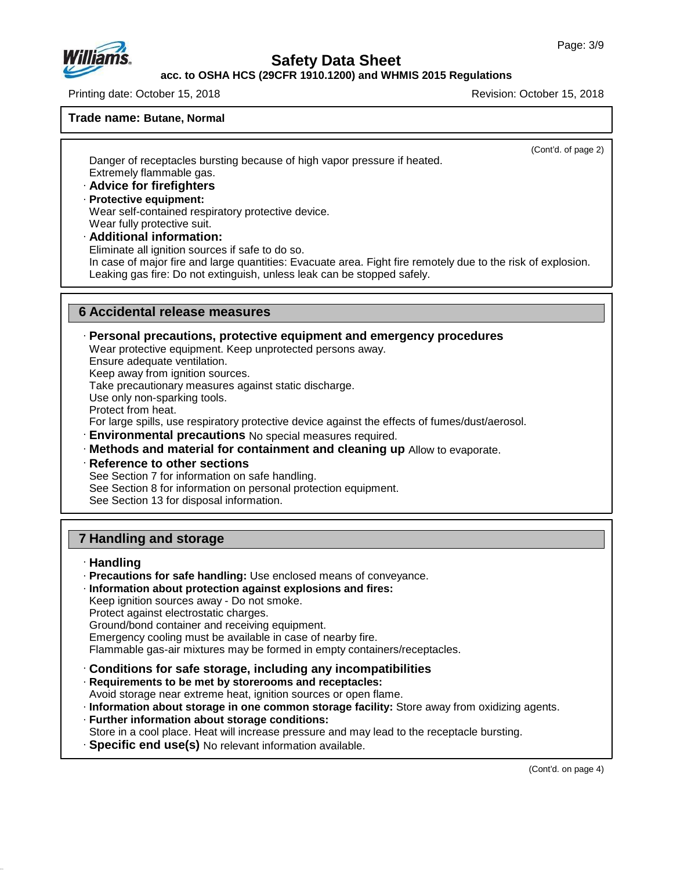

#### **acc. to OSHA HCS (29CFR 1910.1200) and WHMIS 2015 Regulations**

Printing date: October 15, 2018 Revision: October 15, 2018

#### **Trade name: Butane, Normal**

Danger of receptacles bursting because of high vapor pressure if heated.

(Cont'd. of page 2)

- Extremely flammable gas. · **Advice for firefighters** · **Protective equipment:**
- Wear self-contained respiratory protective device. Wear fully protective suit.
- · **Additional information:** Eliminate all ignition sources if safe to do so. In case of major fire and large quantities: Evacuate area. Fight fire remotely due to the risk of explosion. Leaking gas fire: Do not extinguish, unless leak can be stopped safely.

### **6 Accidental release measures**

· **Personal precautions, protective equipment and emergency procedures**

Wear protective equipment. Keep unprotected persons away.

Ensure adequate ventilation.

Keep away from ignition sources.

Take precautionary measures against static discharge.

Use only non-sparking tools.

Protect from heat.

For large spills, use respiratory protective device against the effects of fumes/dust/aerosol.

· **Environmental precautions** No special measures required.

· **Methods and material for containment and cleaning up** Allow to evaporate.

· **Reference to other sections**

See Section 7 for information on safe handling.

See Section 8 for information on personal protection equipment.

See Section 13 for disposal information.

## **7 Handling and storage**

· **Handling**

47.0.13

- · **Precautions for safe handling:** Use enclosed means of conveyance.
- · **Information about protection against explosions and fires:**

Keep ignition sources away - Do not smoke.

Protect against electrostatic charges.

Ground/bond container and receiving equipment.

Emergency cooling must be available in case of nearby fire.

Flammable gas-air mixtures may be formed in empty containers/receptacles.

· **Conditions for safe storage, including any incompatibilities**

· **Requirements to be met by storerooms and receptacles:**

Avoid storage near extreme heat, ignition sources or open flame.

· **Information about storage in one common storage facility:** Store away from oxidizing agents.

### · **Further information about storage conditions:**

Store in a cool place. Heat will increase pressure and may lead to the receptacle bursting.

· **Specific end use(s)** No relevant information available.

(Cont'd. on page 4)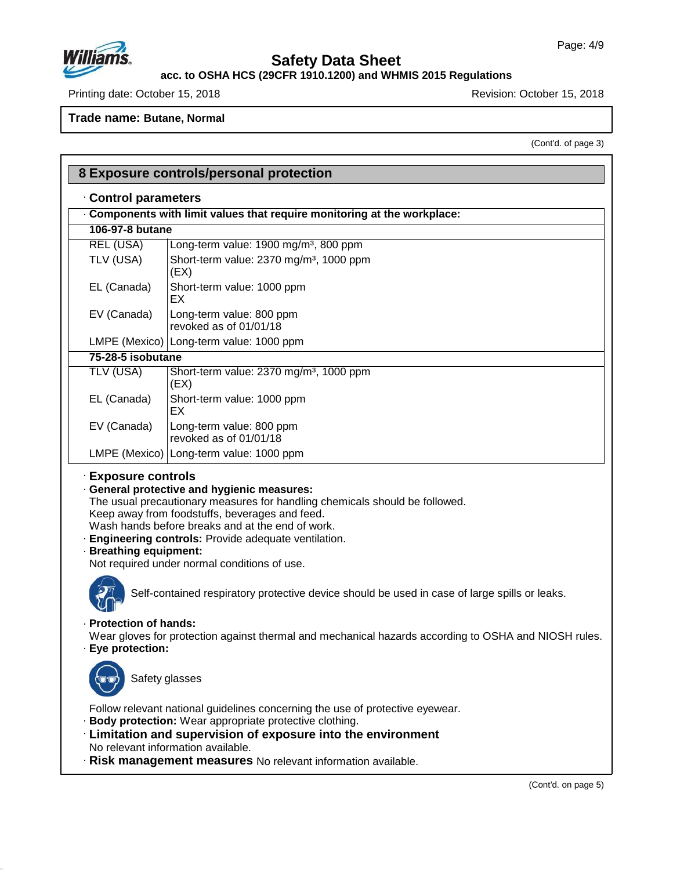

47.0.13

# **Safety Data Sheet**

**acc. to OSHA HCS (29CFR 1910.1200) and WHMIS 2015 Regulations**

Printing date: October 15, 2018 **Printing date: October 15, 2018** 

**Trade name: Butane, Normal**

(Cont'd. of page 3)

|                                             | 8 Exposure controls/personal protection                                                                                                                                                                                                                                                                                                   |  |  |  |  |
|---------------------------------------------|-------------------------------------------------------------------------------------------------------------------------------------------------------------------------------------------------------------------------------------------------------------------------------------------------------------------------------------------|--|--|--|--|
| Control parameters                          |                                                                                                                                                                                                                                                                                                                                           |  |  |  |  |
|                                             | Components with limit values that require monitoring at the workplace:                                                                                                                                                                                                                                                                    |  |  |  |  |
| 106-97-8 butane                             |                                                                                                                                                                                                                                                                                                                                           |  |  |  |  |
| <b>REL (USA)</b>                            | Long-term value: 1900 mg/m <sup>3</sup> , 800 ppm                                                                                                                                                                                                                                                                                         |  |  |  |  |
| TLV (USA)                                   | Short-term value: 2370 mg/m <sup>3</sup> , 1000 ppm<br>(EX)                                                                                                                                                                                                                                                                               |  |  |  |  |
| EL (Canada)                                 | Short-term value: 1000 ppm<br>EX                                                                                                                                                                                                                                                                                                          |  |  |  |  |
| EV (Canada)                                 | Long-term value: 800 ppm<br>revoked as of 01/01/18                                                                                                                                                                                                                                                                                        |  |  |  |  |
|                                             | LMPE (Mexico)   Long-term value: 1000 ppm                                                                                                                                                                                                                                                                                                 |  |  |  |  |
| 75-28-5 isobutane                           |                                                                                                                                                                                                                                                                                                                                           |  |  |  |  |
| <b>TLV (USA)</b>                            | Short-term value: 2370 mg/m <sup>3</sup> , 1000 ppm<br>(EX)                                                                                                                                                                                                                                                                               |  |  |  |  |
| EL (Canada)                                 | Short-term value: 1000 ppm<br>EX                                                                                                                                                                                                                                                                                                          |  |  |  |  |
| EV (Canada)                                 | Long-term value: 800 ppm<br>revoked as of 01/01/18                                                                                                                                                                                                                                                                                        |  |  |  |  |
|                                             | LMPE (Mexico)   Long-term value: 1000 ppm                                                                                                                                                                                                                                                                                                 |  |  |  |  |
| · Breathing equipment:                      | · General protective and hygienic measures:<br>The usual precautionary measures for handling chemicals should be followed.<br>Keep away from foodstuffs, beverages and feed.<br>Wash hands before breaks and at the end of work.<br>· Engineering controls: Provide adequate ventilation.<br>Not required under normal conditions of use. |  |  |  |  |
|                                             | Self-contained respiratory protective device should be used in case of large spills or leaks.                                                                                                                                                                                                                                             |  |  |  |  |
| · Protection of hands:<br>· Eye protection: | Wear gloves for protection against thermal and mechanical hazards according to OSHA and NIOSH rules.                                                                                                                                                                                                                                      |  |  |  |  |
| Safety glasses                              |                                                                                                                                                                                                                                                                                                                                           |  |  |  |  |
|                                             | Follow relevant national guidelines concerning the use of protective eyewear.<br>Body protection: Wear appropriate protective clothing.<br>· Limitation and supervision of exposure into the environment<br>No relevant information available.<br>· Risk management measures No relevant information available.                           |  |  |  |  |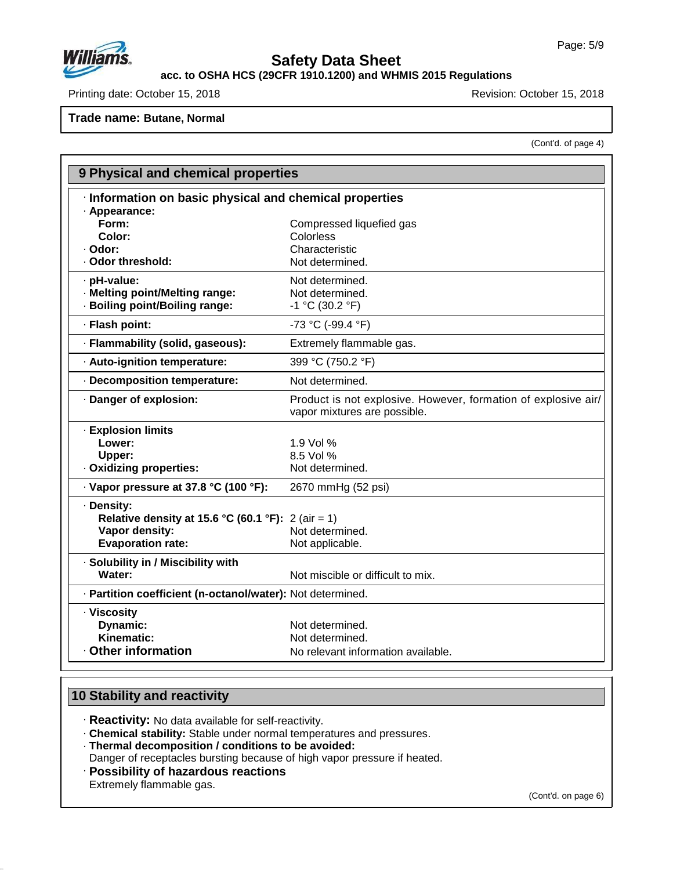

**acc. to OSHA HCS (29CFR 1910.1200) and WHMIS 2015 Regulations**

Printing date: October 15, 2018 **Printing date: October 15, 2018** Revision: October 15, 2018

**Trade name: Butane, Normal**

(Cont'd. of page 4)

| 9 Physical and chemical properties                         |                                                                                                |
|------------------------------------------------------------|------------------------------------------------------------------------------------------------|
| · Information on basic physical and chemical properties    |                                                                                                |
| · Appearance:                                              |                                                                                                |
| Form:                                                      | Compressed liquefied gas                                                                       |
| Color:                                                     | Colorless                                                                                      |
| · Odor:                                                    | Characteristic                                                                                 |
| · Odor threshold:                                          | Not determined.                                                                                |
| · pH-value:                                                | Not determined.                                                                                |
| · Melting point/Melting range:                             | Not determined.                                                                                |
| · Boiling point/Boiling range:                             | $-1$ °C (30.2 °F)                                                                              |
| · Flash point:                                             | -73 °C (-99.4 °F)                                                                              |
| · Flammability (solid, gaseous):                           | Extremely flammable gas.                                                                       |
| · Auto-ignition temperature:                               | 399 °C (750.2 °F)                                                                              |
| · Decomposition temperature:                               | Not determined.                                                                                |
| · Danger of explosion:                                     | Product is not explosive. However, formation of explosive air/<br>vapor mixtures are possible. |
| · Explosion limits                                         |                                                                                                |
| Lower:                                                     | 1.9 Vol %                                                                                      |
| Upper:                                                     | 8.5 Vol %                                                                                      |
| · Oxidizing properties:                                    | Not determined.                                                                                |
| · Vapor pressure at 37.8 °C (100 °F):                      | 2670 mmHg (52 psi)                                                                             |
| · Density:                                                 |                                                                                                |
| Relative density at 15.6 °C (60.1 °F): 2 (air = 1)         |                                                                                                |
| Vapor density:                                             | Not determined.                                                                                |
| <b>Evaporation rate:</b>                                   | Not applicable.                                                                                |
| · Solubility in / Miscibility with                         |                                                                                                |
| Water:                                                     | Not miscible or difficult to mix.                                                              |
| · Partition coefficient (n-octanol/water): Not determined. |                                                                                                |
| · Viscosity                                                |                                                                                                |
| Dynamic:                                                   | Not determined.                                                                                |
| <b>Kinematic:</b>                                          | Not determined.                                                                                |
| Other information                                          | No relevant information available.                                                             |
|                                                            |                                                                                                |

### **10 Stability and reactivity**

47.0.13

· **Reactivity:** No data available for self-reactivity.

· **Chemical stability:** Stable under normal temperatures and pressures.

· **Thermal decomposition / conditions to be avoided:**

Danger of receptacles bursting because of high vapor pressure if heated.

· **Possibility of hazardous reactions** Extremely flammable gas.

(Cont'd. on page 6)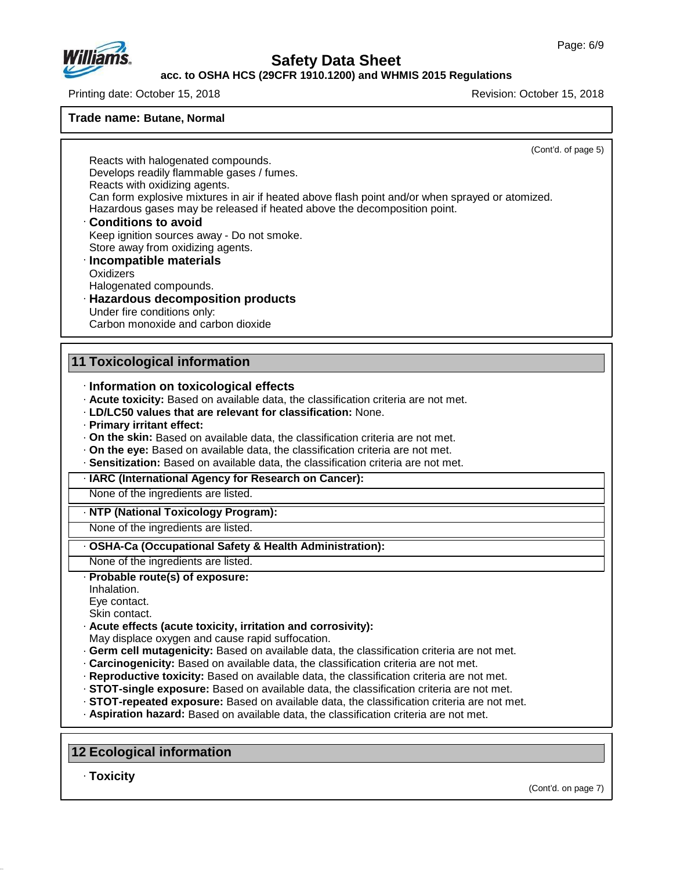

#### **acc. to OSHA HCS (29CFR 1910.1200) and WHMIS 2015 Regulations**

Printing date: October 15, 2018 **Printing date: October 15, 2018** 

## **Trade name: Butane, Normal**

|                                                                                                                                                                                                                                                                                                                               | (Cont'd. of page 5) |  |  |  |                                    |  |
|-------------------------------------------------------------------------------------------------------------------------------------------------------------------------------------------------------------------------------------------------------------------------------------------------------------------------------|---------------------|--|--|--|------------------------------------|--|
| Reacts with halogenated compounds.                                                                                                                                                                                                                                                                                            |                     |  |  |  |                                    |  |
| Develops readily flammable gases / fumes.                                                                                                                                                                                                                                                                                     |                     |  |  |  |                                    |  |
| Reacts with oxidizing agents.<br>Can form explosive mixtures in air if heated above flash point and/or when sprayed or atomized.<br>Hazardous gases may be released if heated above the decomposition point.<br><b>Conditions to avoid</b><br>Keep ignition sources away - Do not smoke.<br>Store away from oxidizing agents. |                     |  |  |  |                                    |  |
|                                                                                                                                                                                                                                                                                                                               |                     |  |  |  | · Incompatible materials           |  |
|                                                                                                                                                                                                                                                                                                                               |                     |  |  |  | Oxidizers                          |  |
|                                                                                                                                                                                                                                                                                                                               |                     |  |  |  | Halogenated compounds.             |  |
|                                                                                                                                                                                                                                                                                                                               |                     |  |  |  | · Hazardous decomposition products |  |
| Under fire conditions only:                                                                                                                                                                                                                                                                                                   |                     |  |  |  |                                    |  |
| Carbon monoxide and carbon dioxide                                                                                                                                                                                                                                                                                            |                     |  |  |  |                                    |  |
| <b>11 Toxicological information</b>                                                                                                                                                                                                                                                                                           |                     |  |  |  |                                    |  |
| · Information on toxicological effects                                                                                                                                                                                                                                                                                        |                     |  |  |  |                                    |  |
| · Acute toxicity: Based on available data, the classification criteria are not met.                                                                                                                                                                                                                                           |                     |  |  |  |                                    |  |
| <b>LD/LC50 values that are relevant for classification: None.</b>                                                                                                                                                                                                                                                             |                     |  |  |  |                                    |  |
| · Primary irritant effect:                                                                                                                                                                                                                                                                                                    |                     |  |  |  |                                    |  |
| . On the skin: Based on available data, the classification criteria are not met.                                                                                                                                                                                                                                              |                     |  |  |  |                                    |  |
|                                                                                                                                                                                                                                                                                                                               |                     |  |  |  |                                    |  |
| · On the eye: Based on available data, the classification criteria are not met.                                                                                                                                                                                                                                               |                     |  |  |  |                                    |  |
| · Sensitization: Based on available data, the classification criteria are not met.                                                                                                                                                                                                                                            |                     |  |  |  |                                    |  |
| · IARC (International Agency for Research on Cancer):                                                                                                                                                                                                                                                                         |                     |  |  |  |                                    |  |
| None of the ingredients are listed.                                                                                                                                                                                                                                                                                           |                     |  |  |  |                                    |  |
| · NTP (National Toxicology Program):                                                                                                                                                                                                                                                                                          |                     |  |  |  |                                    |  |
| None of the ingredients are listed.                                                                                                                                                                                                                                                                                           |                     |  |  |  |                                    |  |
| · OSHA-Ca (Occupational Safety & Health Administration):                                                                                                                                                                                                                                                                      |                     |  |  |  |                                    |  |
| None of the ingredients are listed.                                                                                                                                                                                                                                                                                           |                     |  |  |  |                                    |  |
| · Probable route(s) of exposure:                                                                                                                                                                                                                                                                                              |                     |  |  |  |                                    |  |
| Inhalation.                                                                                                                                                                                                                                                                                                                   |                     |  |  |  |                                    |  |
| Eye contact.                                                                                                                                                                                                                                                                                                                  |                     |  |  |  |                                    |  |
| Skin contact.                                                                                                                                                                                                                                                                                                                 |                     |  |  |  |                                    |  |
| Acute effects (acute toxicity, irritation and corrosivity):                                                                                                                                                                                                                                                                   |                     |  |  |  |                                    |  |
| May displace oxygen and cause rapid suffocation.<br>. Germ cell mutagenicity: Based on available data, the classification criteria are not met.                                                                                                                                                                               |                     |  |  |  |                                    |  |
| · Carcinogenicity: Based on available data, the classification criteria are not met.                                                                                                                                                                                                                                          |                     |  |  |  |                                    |  |
| · Reproductive toxicity: Based on available data, the classification criteria are not met.                                                                                                                                                                                                                                    |                     |  |  |  |                                    |  |
| · STOT-single exposure: Based on available data, the classification criteria are not met.                                                                                                                                                                                                                                     |                     |  |  |  |                                    |  |
| · STOT-repeated exposure: Based on available data, the classification criteria are not met.<br>· Aspiration hazard: Based on available data, the classification criteria are not met.                                                                                                                                         |                     |  |  |  |                                    |  |

· **Toxicity**

47.0.13

(Cont'd. on page 7)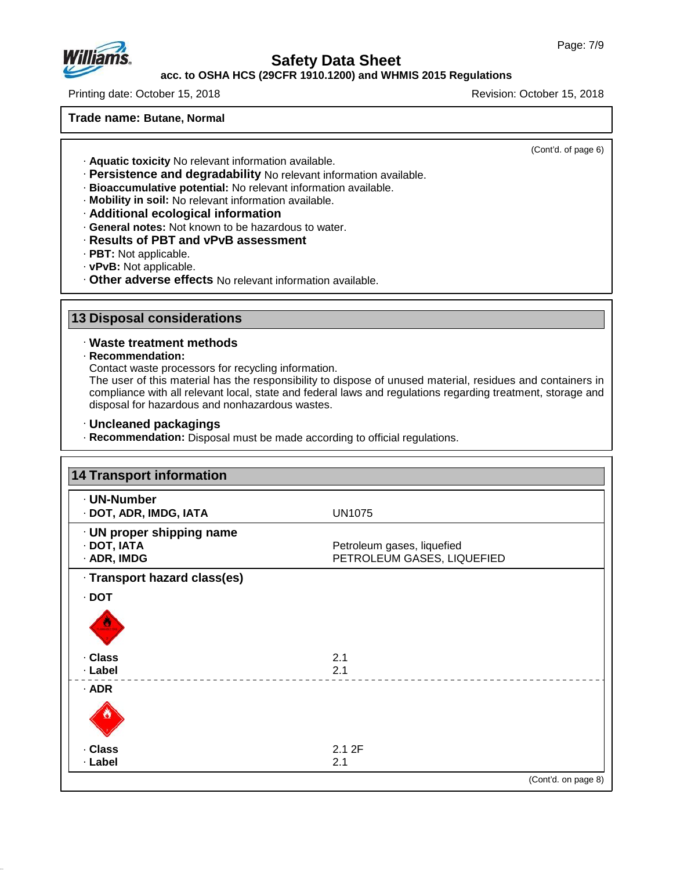

### **acc. to OSHA HCS (29CFR 1910.1200) and WHMIS 2015 Regulations**

Printing date: October 15, 2018 Revision: October 15, 2018

#### **Trade name: Butane, Normal**

(Cont'd. of page 6)

- · **Aquatic toxicity** No relevant information available.
- · **Persistence and degradability** No relevant information available.
- · **Bioaccumulative potential:** No relevant information available.
- · **Mobility in soil:** No relevant information available.
- · **Additional ecological information**
- · **General notes:** Not known to be hazardous to water.
- · **Results of PBT and vPvB assessment**
- · **PBT:** Not applicable.
- · **vPvB:** Not applicable.
- · **Other adverse effects** No relevant information available.

### **13 Disposal considerations**

#### · **Waste treatment methods**

· **Recommendation:**

47.0.13

Contact waste processors for recycling information.

The user of this material has the responsibility to dispose of unused material, residues and containers in compliance with all relevant local, state and federal laws and regulations regarding treatment, storage and disposal for hazardous and nonhazardous wastes.

- · **Uncleaned packagings**
- · **Recommendation:** Disposal must be made according to official regulations.

| · UN-Number                  |                            |
|------------------------------|----------------------------|
| · DOT, ADR, IMDG, IATA       | <b>UN1075</b>              |
| · UN proper shipping name    |                            |
| · DOT, IATA                  | Petroleum gases, liquefied |
| · ADR, IMDG                  | PETROLEUM GASES, LIQUEFIED |
| · Transport hazard class(es) |                            |
| $\cdot$ DOT                  |                            |
|                              |                            |
| . Class                      | 2.1                        |
| · Label                      | 2.1                        |
| $·$ ADR                      |                            |
|                              |                            |
| . Class                      | 2.1 2F                     |
| · Label                      | 2.1                        |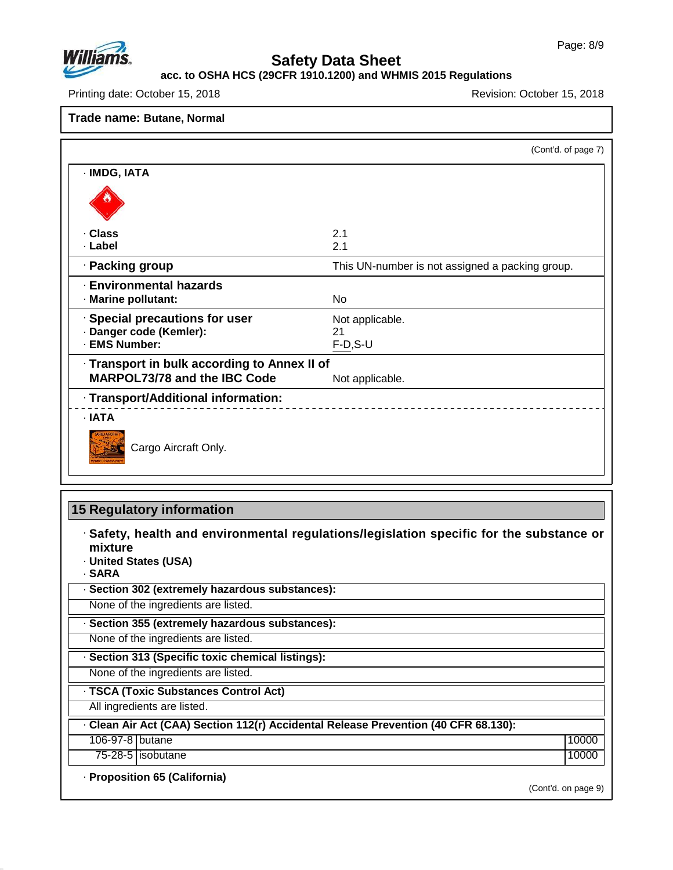

### **acc. to OSHA HCS (29CFR 1910.1200) and WHMIS 2015 Regulations**

Printing date: October 15, 2018 **Printing date: October 15, 2018** Revision: October 15, 2018

#### **Trade name: Butane, Normal**

|                                                     | (Cont'd. of page 7)                             |
|-----------------------------------------------------|-------------------------------------------------|
| · IMDG, IATA                                        |                                                 |
|                                                     |                                                 |
| · Class                                             | 2.1                                             |
| · Label                                             | 2.1                                             |
| · Packing group                                     | This UN-number is not assigned a packing group. |
| <b>Environmental hazards</b><br>· Marine pollutant: | <b>No</b>                                       |
| · Special precautions for user                      | Not applicable.                                 |
| · Danger code (Kemler):                             | 21                                              |
| · EMS Number:                                       | $F-D, S-U$                                      |
| · Transport in bulk according to Annex II of        |                                                 |
| <b>MARPOL73/78 and the IBC Code</b>                 | Not applicable.                                 |
| · Transport/Additional information:                 |                                                 |
| · IATA                                              |                                                 |
| Cargo Aircraft Only.                                |                                                 |

### **15 Regulatory information**

· **Safety, health and environmental regulations/legislation specific for the substance or mixture**

· **United States (USA)**

· **SARA**

47.0.13

· **Section 302 (extremely hazardous substances):**

None of the ingredients are listed.

· **Section 355 (extremely hazardous substances):**

None of the ingredients are listed.

· **Section 313 (Specific toxic chemical listings):**

None of the ingredients are listed.

· **TSCA (Toxic Substances Control Act)**

All ingredients are listed.

· **Clean AirAct (CAA) Section 112(r) Accidental Release Prevention (40 CFR 68.130):**

106-97-8 butane 100000 and 100000 and 100000 and 100000 and 100000 and 100000 and 100000 and 100000 and 100000

75-28-5 isobutane 10000

· **Proposition 65 (California)**

(Cont'd. on page 9)